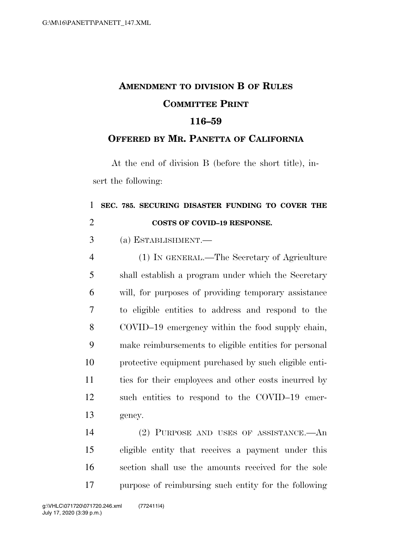# **AMENDMENT TO DIVISION B OF RULES COMMITTEE PRINT**

#### **116–59**

#### **OFFERED BY MR. PANETTA OF CALIFORNIA**

At the end of division B (before the short title), insert the following:

## **SEC. 785. SECURING DISASTER FUNDING TO COVER THE COSTS OF COVID–19 RESPONSE.**

(a) ESTABLISHMENT.—

 (1) IN GENERAL.—The Secretary of Agriculture shall establish a program under which the Secretary will, for purposes of providing temporary assistance to eligible entities to address and respond to the COVID–19 emergency within the food supply chain, make reimbursements to eligible entities for personal protective equipment purchased by such eligible enti- ties for their employees and other costs incurred by such entities to respond to the COVID–19 emer-gency.

 (2) PURPOSE AND USES OF ASSISTANCE.—An eligible entity that receives a payment under this section shall use the amounts received for the sole purpose of reimbursing such entity for the following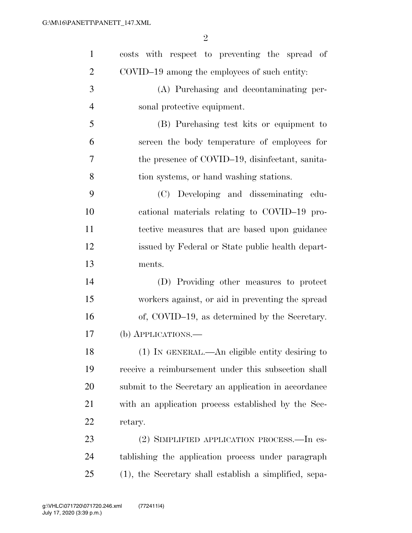| $\mathbf{1}$   | costs with respect to preventing the spread of         |
|----------------|--------------------------------------------------------|
| $\overline{2}$ | COVID-19 among the employees of such entity:           |
| 3              | (A) Purchasing and decontaminating per-                |
| $\overline{4}$ | sonal protective equipment.                            |
| 5              | (B) Purchasing test kits or equipment to               |
| 6              | screen the body temperature of employees for           |
| 7              | the presence of COVID-19, disinfectant, sanita-        |
| 8              | tion systems, or hand washing stations.                |
| 9              | (C) Developing and disseminating edu-                  |
| 10             | cational materials relating to COVID-19 pro-           |
| 11             | tective measures that are based upon guidance          |
| 12             | issued by Federal or State public health depart-       |
| 13             | ments.                                                 |
| 14             | (D) Providing other measures to protect                |
| 15             | workers against, or aid in preventing the spread       |
| 16             | of, COVID-19, as determined by the Secretary.          |
| 17             | (b) APPLICATIONS.—                                     |
| 18             | (1) IN GENERAL.—An eligible entity desiring to         |
| 19             | receive a reimbursement under this subsection shall    |
| 20             | submit to the Secretary an application in accordance   |
| 21             | with an application process established by the Sec-    |
| 22             | retary.                                                |
| 23             | (2) SIMPLIFIED APPLICATION PROCESS.—In es-             |
| 24             | tablishing the application process under paragraph     |
| 25             | (1), the Secretary shall establish a simplified, sepa- |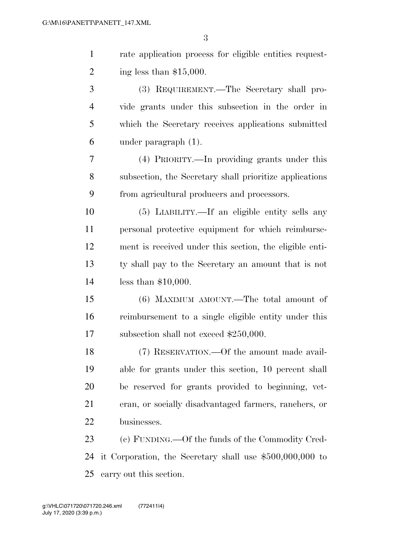| $\mathbf{1}$   | rate application process for eligible entities request-   |
|----------------|-----------------------------------------------------------|
| $\overline{c}$ | ing less than $$15,000$ .                                 |
| 3              | (3) REQUIREMENT.—The Secretary shall pro-                 |
| $\overline{4}$ | vide grants under this subsection in the order in         |
| 5              | which the Secretary receives applications submitted       |
| 6              | under paragraph $(1)$ .                                   |
| 7              | (4) PRIORITY.—In providing grants under this              |
| 8              | subsection, the Secretary shall prioritize applications   |
| 9              | from agricultural producers and processors.               |
| 10             | (5) LIABILITY.—If an eligible entity sells any            |
| 11             | personal protective equipment for which reimburse-        |
| 12             | ment is received under this section, the eligible enti-   |
| 13             | ty shall pay to the Secretary an amount that is not       |
| 14             | less than $$10,000$ .                                     |
| 15             | (6) MAXIMUM AMOUNT.—The total amount of                   |
| 16             | reimbursement to a single eligible entity under this      |
| 17             | subsection shall not exceed $$250,000$ .                  |
| 18             | (7) RESERVATION.—Of the amount made avail-                |
| 19             | able for grants under this section, 10 percent shall      |
| 20             | be reserved for grants provided to beginning, vet-        |
| 21             | eran, or socially disadvantaged farmers, ranchers, or     |
| 22             | businesses.                                               |
| 23             | (c) FUNDING.—Of the funds of the Commodity Cred-          |
| 24             | it Corporation, the Secretary shall use $$500,000,000$ to |
| 25             | carry out this section.                                   |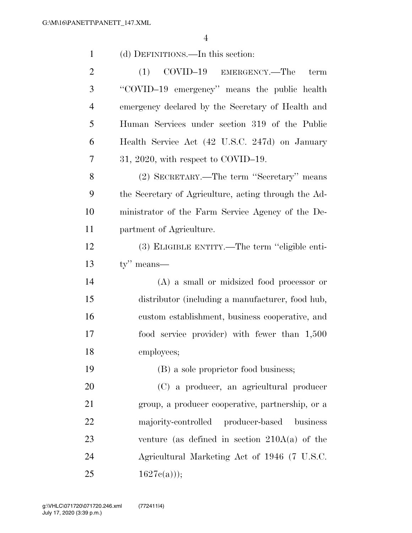| $\mathbf{1}$   | (d) DEFINITIONS.—In this section:                    |
|----------------|------------------------------------------------------|
| $\overline{2}$ | COVID-19 EMERGENCY.—The<br>(1)<br>term               |
| 3              | "COVID-19 emergency" means the public health         |
| $\overline{4}$ | emergency declared by the Secretary of Health and    |
| 5              | Human Services under section 319 of the Public       |
| 6              | Health Service Act (42 U.S.C. 247d) on January       |
| 7              | $31, 2020$ , with respect to COVID-19.               |
| 8              | (2) SECRETARY.—The term "Secretary" means            |
| 9              | the Secretary of Agriculture, acting through the Ad- |
| 10             | ministrator of the Farm Service Agency of the De-    |
| 11             | partment of Agriculture.                             |
| 12             | (3) ELIGIBLE ENTITY.—The term "eligible enti-        |
| 13             | $ty''$ means—                                        |
| 14             | $(A)$ a small or midsized food processor or          |
| 15             | distributor (including a manufacturer, food hub,     |
| 16             | custom establishment, business cooperative, and      |
| 17             | food service provider) with fewer than 1,500         |
| 18             | employees;                                           |
| 19             | (B) a sole proprietor food business;                 |
| 20             | (C) a producer, an agricultural producer             |
| 21             | group, a producer cooperative, partnership, or a     |
| 22             | majority-controlled producer-based<br>business       |
| 23             | venture (as defined in section $210A(a)$ of the      |
| 24             | Agricultural Marketing Act of 1946 (7 U.S.C.         |
| 25             | $1627c(a))$ ;                                        |